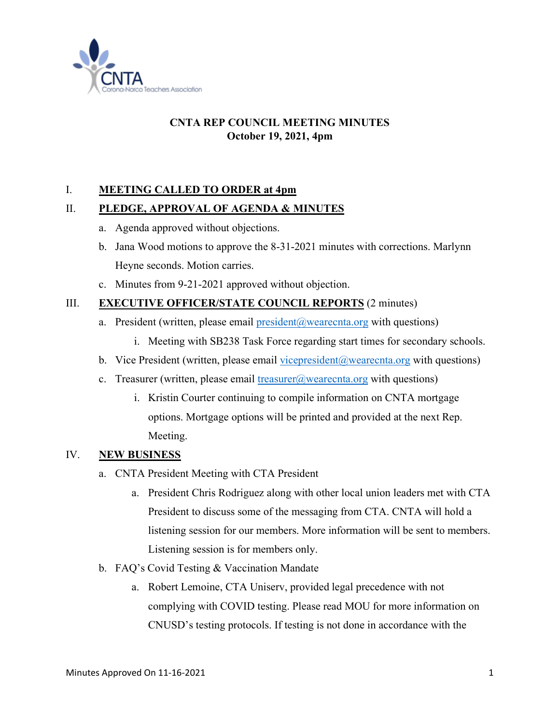

# **CNTA REP COUNCIL MEETING MINUTES October 19, 2021, 4pm**

## I. **MEETING CALLED TO ORDER at 4pm**

## II. **PLEDGE, APPROVAL OF AGENDA & MINUTES**

- a. Agenda approved without objections.
- b. Jana Wood motions to approve the 8-31-2021 minutes with corrections. Marlynn Heyne seconds. Motion carries.
- c. Minutes from 9-21-2021 approved without objection.

## III. **EXECUTIVE OFFICER/STATE COUNCIL REPORTS** (2 minutes)

- a. President (written, please email president  $(a)$  wearecnta.org with questions)
	- i. Meeting with SB238 Task Force regarding start times for secondary schools.
- b. Vice President (written, please email vicepresident  $(a)$  wearecnta.org with questions)
- c. Treasurer (written, please email [treasurer@wearecnta.org](mailto:treasurer@wearecnta.org) with questions)
	- i. Kristin Courter continuing to compile information on CNTA mortgage options. Mortgage options will be printed and provided at the next Rep. Meeting.

## IV. **NEW BUSINESS**

- a. CNTA President Meeting with CTA President
	- a. President Chris Rodriguez along with other local union leaders met with CTA President to discuss some of the messaging from CTA. CNTA will hold a listening session for our members. More information will be sent to members. Listening session is for members only.
- b. FAQ's Covid Testing & Vaccination Mandate
	- a. Robert Lemoine, CTA Uniserv, provided legal precedence with not complying with COVID testing. Please read MOU for more information on CNUSD's testing protocols. If testing is not done in accordance with the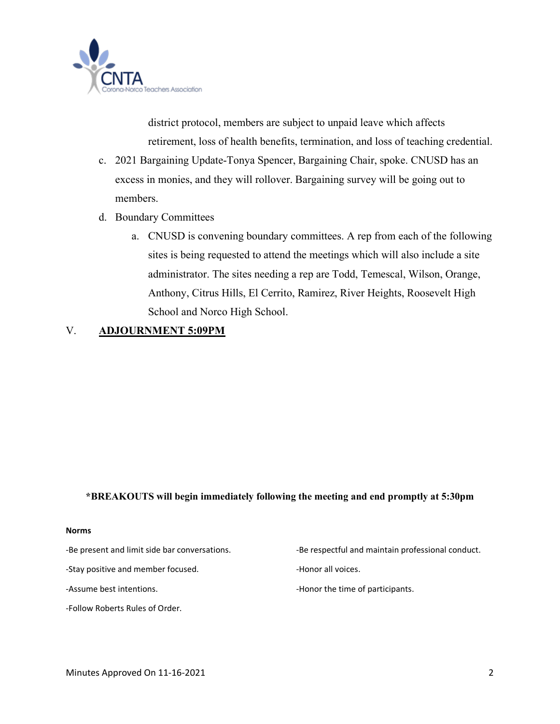

district protocol, members are subject to unpaid leave which affects retirement, loss of health benefits, termination, and loss of teaching credential.

- c. 2021 Bargaining Update-Tonya Spencer, Bargaining Chair, spoke. CNUSD has an excess in monies, and they will rollover. Bargaining survey will be going out to members.
- d. Boundary Committees
	- a. CNUSD is convening boundary committees. A rep from each of the following sites is being requested to attend the meetings which will also include a site administrator. The sites needing a rep are Todd, Temescal, Wilson, Orange, Anthony, Citrus Hills, El Cerrito, Ramirez, River Heights, Roosevelt High School and Norco High School.

#### V. **ADJOURNMENT 5:09PM**

#### **\*BREAKOUTS will begin immediately following the meeting and end promptly at 5:30pm**

#### **Norms**

-Stay positive and member focused. The state of the Honor all voices.

-Follow Roberts Rules of Order.

-Be present and limit side bar conversations. The series of the respectful and maintain professional conduct.

-Assume best intentions.  $\blacksquare$